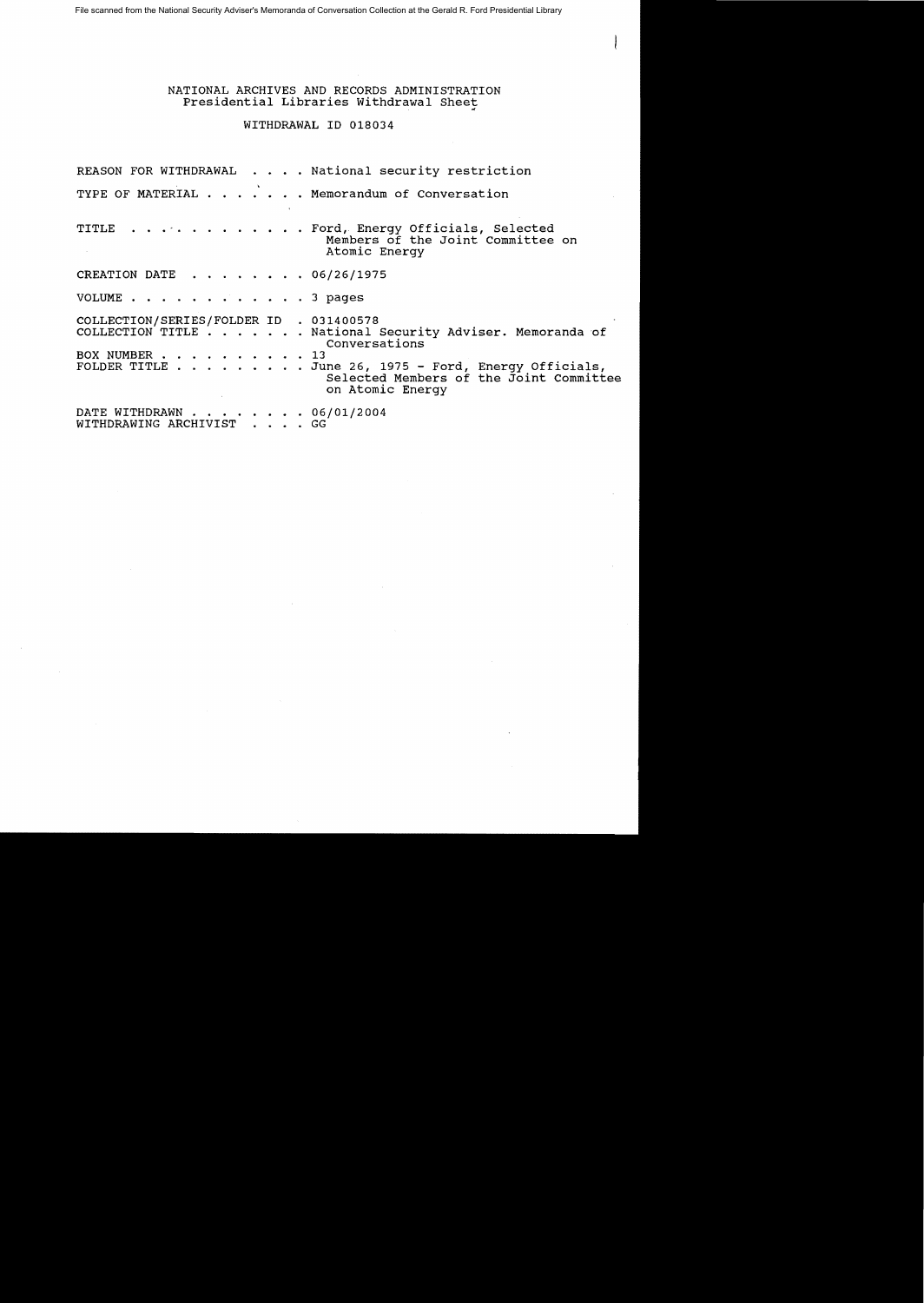File scanned from the National Security Adviser's Memoranda of Conversation Collection at the Gerald R. Ford Presidential Library

NATIONAL ARCHIVES AND RECORDS ADMINISTRATION Presidential Libraries Withdrawal Sheet.<br>WITHDRAWAL ID 018034

REASON FOR WITHDRAWAL . . . . National security restriction TYPE OF MATERIAL . . . . . . Memorandum of Conversation TITLE . . . . . . . . . . . . Ford, Energy Officials, Selected Members of the Joint committee on Atomic Energy CREATION DATE . . . . . . . 06/26/1975 VOLUME  $\cdots$   $\cdots$   $\cdots$   $\cdots$   $\cdots$  3 pages COLLECTION/SERIES/FOLDER ID . 031400578 COLLECTION TITLE . . . . . . National Security Adviser. Memoranda of Conversations<br>
. . 13 BOX NUMBER . . . . . . .<br>FOLDER TITLE . . . . . . .. June 26, 1975 - Ford, Energy Officials, Selected Members of the Joint Committee on Atomic Energy ON ACOMIC<br>DATE WITHDRAWN . . . . . . . . 06/01/2004<br>WITHDRAWING ARCHIVIST . . . . GG